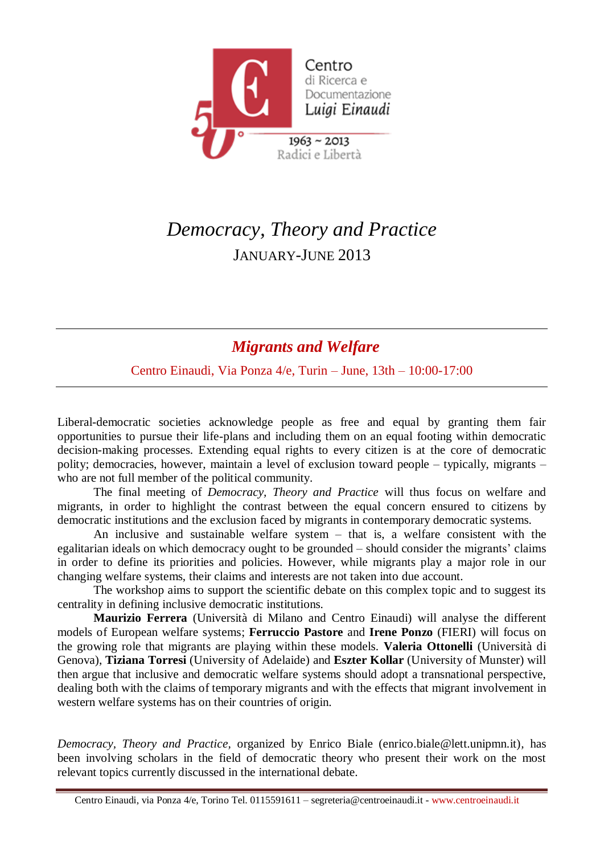

## *Democracy, Theory and Practice* JANUARY-JUNE 2013

## *Migrants and Welfare*

Centro Einaudi, Via Ponza 4/e, Turin – June, 13th – 10:00-17:00

Liberal-democratic societies acknowledge people as free and equal by granting them fair opportunities to pursue their life-plans and including them on an equal footing within democratic decision-making processes. Extending equal rights to every citizen is at the core of democratic polity; democracies, however, maintain a level of exclusion toward people – typically, migrants – who are not full member of the political community.

The final meeting of *Democracy, Theory and Practice* will thus focus on welfare and migrants, in order to highlight the contrast between the equal concern ensured to citizens by democratic institutions and the exclusion faced by migrants in contemporary democratic systems.

An inclusive and sustainable welfare system – that is, a welfare consistent with the egalitarian ideals on which democracy ought to be grounded – should consider the migrants' claims in order to define its priorities and policies. However, while migrants play a major role in our changing welfare systems, their claims and interests are not taken into due account.

The workshop aims to support the scientific debate on this complex topic and to suggest its centrality in defining inclusive democratic institutions.

**Maurizio Ferrera** (Università di Milano and Centro Einaudi) will analyse the different models of European welfare systems; **Ferruccio Pastore** and **Irene Ponzo** (FIERI) will focus on the growing role that migrants are playing within these models. **Valeria Ottonelli** (Università di Genova), **Tiziana Torresi** (University of Adelaide) and **Eszter Kollar** (University of Munster) will then argue that inclusive and democratic welfare systems should adopt a transnational perspective, dealing both with the claims of temporary migrants and with the effects that migrant involvement in western welfare systems has on their countries of origin.

*Democracy, Theory and Practice,* organized by Enrico Biale (enrico.biale@lett.unipmn.it)*,* has been involving scholars in the field of democratic theory who present their work on the most relevant topics currently discussed in the international debate.